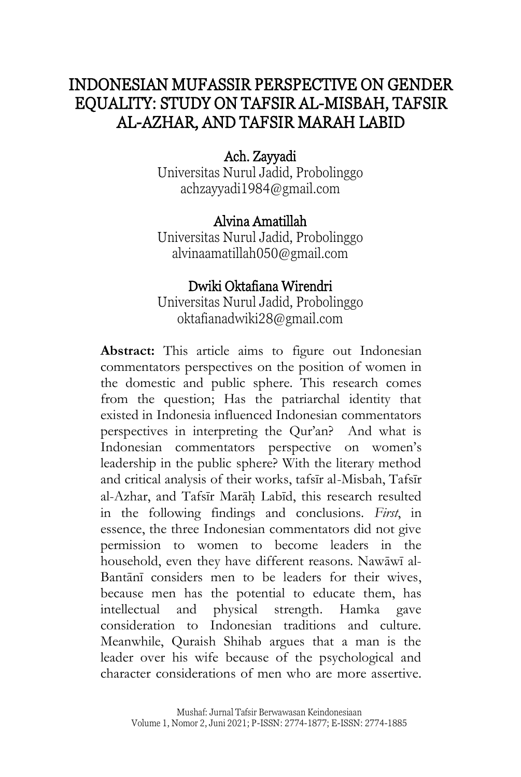# INDONESIAN MUFASSIR PERSPECTIVE ON GENDER EQUALITY: STUDY ON TAFSIR AL-MISBAH, TAFSIR AL-AZHAR, AND TAFSIR MARAH LABID

# Ach. Zayyadi

Universitas Nurul Jadid, Probolinggo [achzayyadi1984@gmail.com](mailto:achzayyadi1984@gmail.com)

# Alvina Amatillah

Universitas Nurul Jadid, Probolinggo [alvinaamatillah050@gmail.com](mailto:alvinaamatillah050@gmail.com)

# Dwiki Oktafiana Wirendri

Universitas Nurul Jadid, Probolinggo [oktafianadwiki28@gmail.com](mailto:oktafianadwiki28@gmail.com)

**Abstract:** This article aims to figure out Indonesian commentators perspectives on the position of women in the domestic and public sphere. This research comes from the question; Has the patriarchal identity that existed in Indonesia influenced Indonesian commentators perspectives in interpreting the Qur'an? And what is Indonesian commentators perspective on women's leadership in the public sphere? With the literary method and critical analysis of their works, tafsīr al-Misbah, Tafsīr al-Azhar, and Tafsīr Marāh Labīd, this research resulted in the following findings and conclusions. *First*, in essence, the three Indonesian commentators did not give permission to women to become leaders in the household, even they have different reasons. Nawāwī al-Bantānī considers men to be leaders for their wives, because men has the potential to educate them, has intellectual and physical strength. Hamka gave consideration to Indonesian traditions and culture. Meanwhile, Quraish Shihab argues that a man is the leader over his wife because of the psychological and character considerations of men who are more assertive.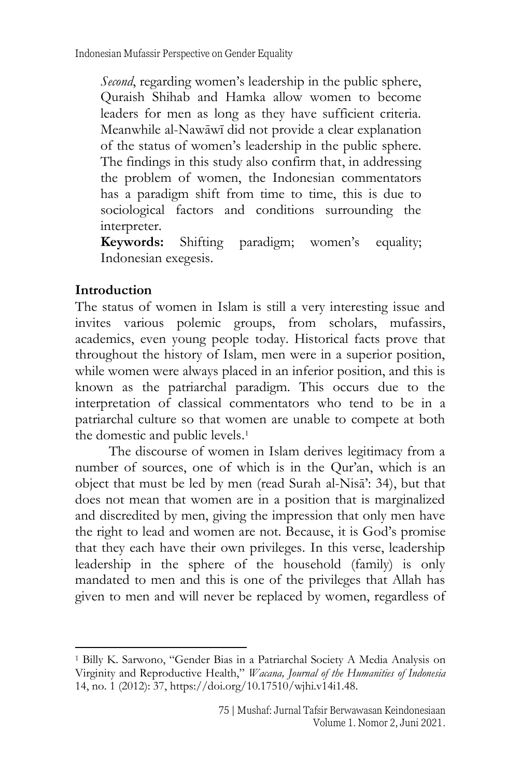*Second*, regarding women's leadership in the public sphere, Quraish Shihab and Hamka allow women to become leaders for men as long as they have sufficient criteria. Meanwhile al-Nawāwī did not provide a clear explanation of the status of women's leadership in the public sphere. The findings in this study also confirm that, in addressing the problem of women, the Indonesian commentators has a paradigm shift from time to time, this is due to sociological factors and conditions surrounding the interpreter.

**Keywords:** Shifting paradigm; women's equality; Indonesian exegesis.

#### **Introduction**

The status of women in Islam is still a very interesting issue and invites various polemic groups, from scholars, mufassirs, academics, even young people today. Historical facts prove that throughout the history of Islam, men were in a superior position, while women were always placed in an inferior position, and this is known as the patriarchal paradigm. This occurs due to the interpretation of classical commentators who tend to be in a patriarchal culture so that women are unable to compete at both the domestic and public levels.<sup>1</sup>

The discourse of women in Islam derives legitimacy from a number of sources, one of which is in the Qur'an, which is an object that must be led by men (read Surah al-Nisā': 34), but that does not mean that women are in a position that is marginalized and discredited by men, giving the impression that only men have the right to lead and women are not. Because, it is God's promise that they each have their own privileges. In this verse, leadership leadership in the sphere of the household (family) is only mandated to men and this is one of the privileges that Allah has given to men and will never be replaced by women, regardless of

<sup>1</sup> Billy K. Sarwono, "Gender Bias in a Patriarchal Society A Media Analysis on Virginity and Reproductive Health," *Wacana, Journal of the Humanities of Indonesia* 14, no. 1 (2012): 37, https://doi.org/10.17510/wjhi.v14i1.48.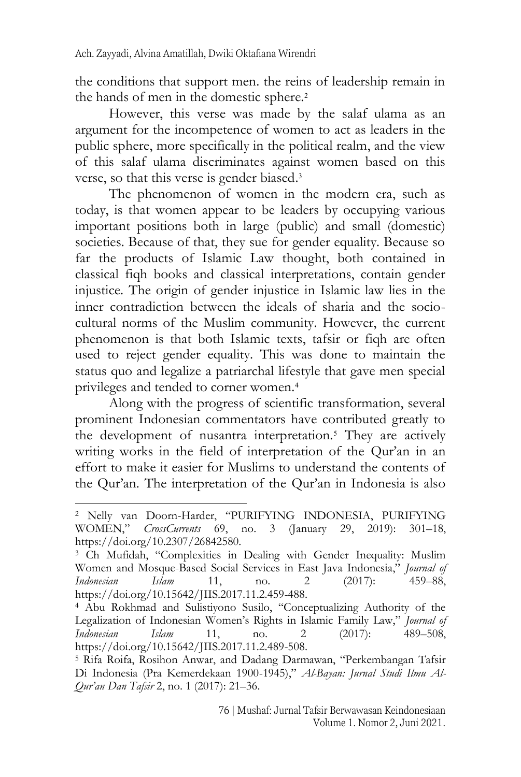the conditions that support men. the reins of leadership remain in the hands of men in the domestic sphere.<sup>2</sup>

However, this verse was made by the salaf ulama as an argument for the incompetence of women to act as leaders in the public sphere, more specifically in the political realm, and the view of this salaf ulama discriminates against women based on this verse, so that this verse is gender biased. 3

The phenomenon of women in the modern era, such as today, is that women appear to be leaders by occupying various important positions both in large (public) and small (domestic) societies. Because of that, they sue for gender equality. Because so far the products of Islamic Law thought, both contained in classical fiqh books and classical interpretations, contain gender injustice. The origin of gender injustice in Islamic law lies in the inner contradiction between the ideals of sharia and the sociocultural norms of the Muslim community. However, the current phenomenon is that both Islamic texts, tafsir or fiqh are often used to reject gender equality. This was done to maintain the status quo and legalize a patriarchal lifestyle that gave men special privileges and tended to corner women.<sup>4</sup>

Along with the progress of scientific transformation, several prominent Indonesian commentators have contributed greatly to the development of nusantra interpretation.<sup>5</sup> They are actively writing works in the field of interpretation of the Our'an in an effort to make it easier for Muslims to understand the contents of the Qur'an. The interpretation of the Qur'an in Indonesia is also

<sup>2</sup> Nelly van Doorn-Harder, "PURIFYING INDONESIA, PURIFYING WOMEN," *CrossCurrents* 69, no. 3 (January 29, 2019): 301–18, https://doi.org/10.2307/26842580.

<sup>&</sup>lt;sup>3</sup> Ch Mufidah, "Complexities in Dealing with Gender Inequality: Muslim Women and Mosque-Based Social Services in East Java Indonesia," *Journal of Indonesian Islam* 11, no. 2 (2017): 459–88, https://doi.org/10.15642/JIIS.2017.11.2.459-488.

<sup>4</sup> Abu Rokhmad and Sulistiyono Susilo, "Conceptualizing Authority of the Legalization of Indonesian Women's Rights in Islamic Family Law," *Journal of Indonesian Islam* 11, no. 2 (2017): 489–508, https://doi.org/10.15642/JIIS.2017.11.2.489-508.

<sup>5</sup> Rifa Roifa, Rosihon Anwar, and Dadang Darmawan, "Perkembangan Tafsir Di Indonesia (Pra Kemerdekaan 1900-1945)," *Al-Bayan: Jurnal Studi Ilmu Al-Qur'an Dan Tafsir* 2, no. 1 (2017): 21–36.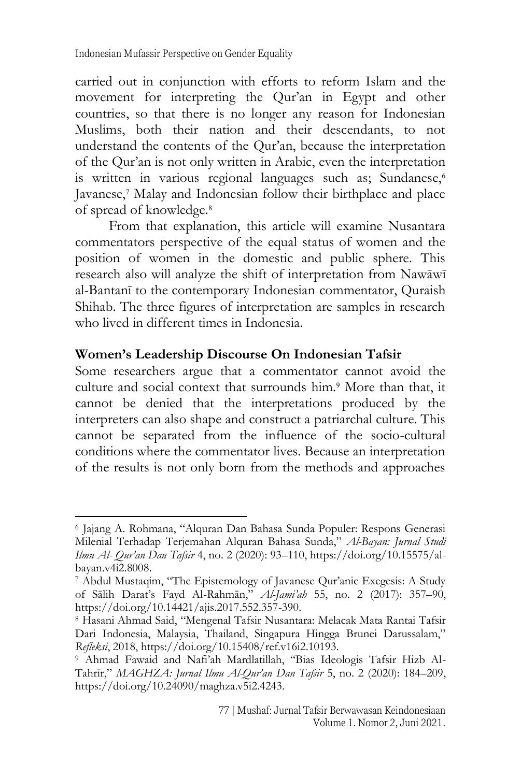carried out in conjunction with efforts to reform Islam and the movement for interpreting the Qur'an in Egypt and other countries, so that there is no longer any reason for Indonesian Muslims, both their nation and their descendants, to not understand the contents of the Qur'an, because the interpretation of the Qur'an is not only written in Arabic, even the interpretation is written in various regional languages such as; Sundanese,<sup>6</sup> Javanese,<sup>7</sup> Malay and Indonesian follow their birthplace and place of spread of knowledge.<sup>8</sup>

From that explanation, this article will examine Nusantara commentators perspective of the equal status of women and the position of women in the domestic and public sphere. This research also will analyze the shift of interpretation from Nawāwī al-Bantanī to the contemporary Indonesian commentator, Quraish Shihab. The three figures of interpretation are samples in research who lived in different times in Indonesia.

#### **Women's Leadership Discourse On Indonesian Tafsir**

Some researchers argue that a commentator cannot avoid the culture and social context that surrounds him.<sup>9</sup> More than that, it cannot be denied that the interpretations produced by the interpreters can also shape and construct a patriarchal culture. This cannot be separated from the influence of the socio-cultural conditions where the commentator lives. Because an interpretation of the results is not only born from the methods and approaches

<sup>6</sup> Jajang A. Rohmana, "Alquran Dan Bahasa Sunda Populer: Respons Generasi Milenial Terhadap Terjemahan Alquran Bahasa Sunda," *Al-Bayan: Jurnal Studi Ilmu Al- Qur'an Dan Tafsir* 4, no. 2 (2020): 93–110, https://doi.org/10.15575/albayan.v4i2.8008.

<sup>7</sup> Abdul Mustaqim, "The Epistemology of Javanese Qur'anic Exegesis: A Study of Sālih Darat's Fayd Al-Rahmān," *Al-Jami'ah* 55, no. 2 (2017): 357–90, https://doi.org/10.14421/ajis.2017.552.357-390.

<sup>8</sup> Hasani Ahmad Said, "Mengenal Tafsir Nusantara: Melacak Mata Rantai Tafsir Dari Indonesia, Malaysia, Thailand, Singapura Hingga Brunei Darussalam," *Refleksi*, 2018, https://doi.org/10.15408/ref.v16i2.10193.

<sup>9</sup> Ahmad Fawaid and Nafi'ah Mardlatillah, "Bias Ideologis Tafsir Hizb Al-Tahrīr," *MAGHZA: Jurnal Ilmu Al-Qur'an Dan Tafsir* 5, no. 2 (2020): 184–209, https://doi.org/10.24090/maghza.v5i2.4243.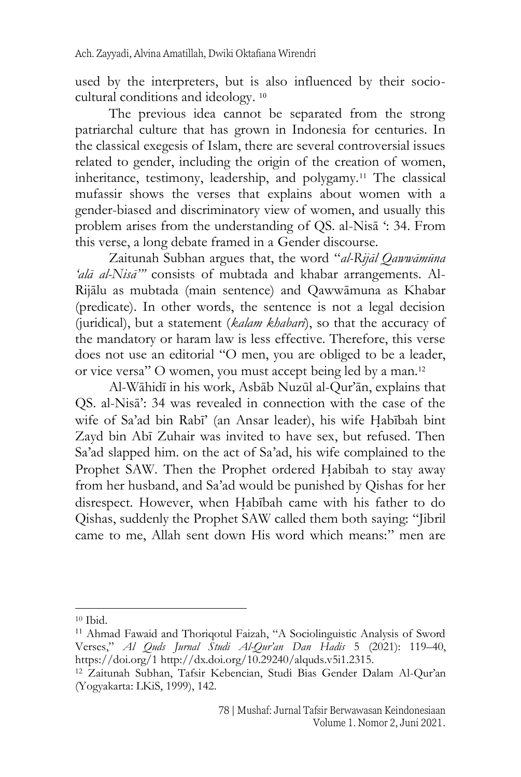used by the interpreters, but is also influenced by their sociocultural conditions and ideology. 10

The previous idea cannot be separated from the strong patriarchal culture that has grown in Indonesia for centuries. In the classical exegesis of Islam, there are several controversial issues related to gender, including the origin of the creation of women, inheritance, testimony, leadership, and polygamy.<sup>11</sup> The classical mufassir shows the verses that explains about women with a gender-biased and discriminatory view of women, and usually this problem arises from the understanding of QS. al-Nisā ': 34. From this verse, a long debate framed in a Gender discourse.

Zaitunah Subhan argues that, the word "*al-Rijāl Qawwāmūna 'alā al-Nisā'"* consists of mubtada and khabar arrangements. Al-Rijālu as mubtada (main sentence) and Qawwāmuna as Khabar (predicate). In other words, the sentence is not a legal decision (juridical), but a statement (*kalam khabarī*), so that the accuracy of the mandatory or haram law is less effective. Therefore, this verse does not use an editorial "O men, you are obliged to be a leader, or vice versa" O women, you must accept being led by a man.<sup>12</sup>

Al-Wāhidī in his work, Asbāb Nuzūl al-Qur'ān, explains that QS. al-Nisā': 34 was revealed in connection with the case of the wife of Sa'ad bin Rabī' (an Ansar leader), his wife Habībah bint Zayd bin Abī Zuhair was invited to have sex, but refused. Then Sa'ad slapped him. on the act of Sa'ad, his wife complained to the Prophet SAW. Then the Prophet ordered Habibah to stay away from her husband, and Sa'ad would be punished by Qishas for her disrespect. However, when Habībah came with his father to do Qishas, suddenly the Prophet SAW called them both saying: "Jibril came to me, Allah sent down His word which means:" men are

 $10$  Ibid.

<sup>&</sup>lt;sup>11</sup> Ahmad Fawaid and Thoriqotul Faizah, "A Sociolinguistic Analysis of Sword Verses," *Al Quds Jurnal Studi Al-Qur'an Dan Hadis* 5 (2021): 119–40, https://doi.org/1 http://dx.doi.org/10.29240/alquds.v5i1.2315.

<sup>12</sup> Zaitunah Subhan, Tafsir Kebencian, Studi Bias Gender Dalam Al-Qur'an (Yogyakarta: LKiS, 1999), 142.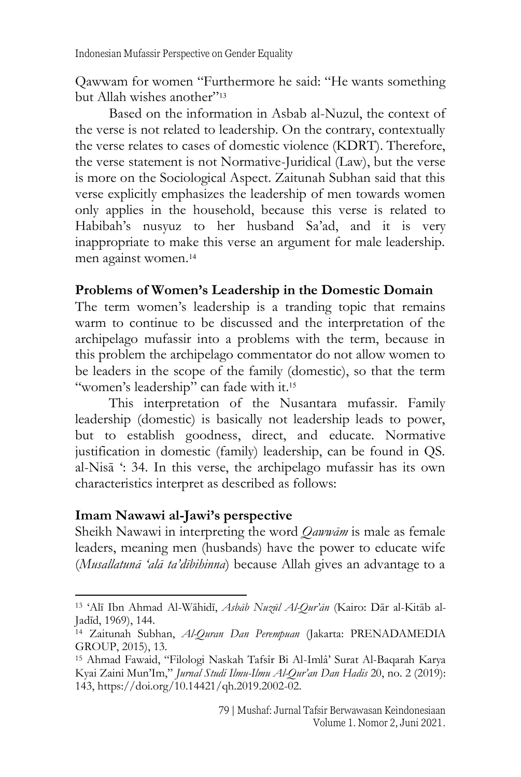Qawwam for women "Furthermore he said: "He wants something but Allah wishes another"<sup>13</sup>

Based on the information in Asbab al-Nuzul, the context of the verse is not related to leadership. On the contrary, contextually the verse relates to cases of domestic violence (KDRT). Therefore, the verse statement is not Normative-Juridical (Law), but the verse is more on the Sociological Aspect. Zaitunah Subhan said that this verse explicitly emphasizes the leadership of men towards women only applies in the household, because this verse is related to Habibah's nusyuz to her husband Sa'ad, and it is very inappropriate to make this verse an argument for male leadership. men against women.<sup>14</sup>

#### **Problems of Women's Leadership in the Domestic Domain**

The term women's leadership is a tranding topic that remains warm to continue to be discussed and the interpretation of the archipelago mufassir into a problems with the term, because in this problem the archipelago commentator do not allow women to be leaders in the scope of the family (domestic), so that the term "women's leadership" can fade with it.<sup>15</sup>

This interpretation of the Nusantara mufassir. Family leadership (domestic) is basically not leadership leads to power, but to establish goodness, direct, and educate. Normative justification in domestic (family) leadership, can be found in QS. al-Nisā ': 34. In this verse, the archipelago mufassir has its own characteristics interpret as described as follows:

#### **Imam Nawawi al-Jawi's perspective**

Sheikh Nawawi in interpreting the word *Qawwām* is male as female leaders, meaning men (husbands) have the power to educate wife (*Musallatunā 'alā ta'dībihinna*) because Allah gives an advantage to a

<sup>13</sup> 'Alī Ibn Ahmad Al-Wāhidī, *Asbāb Nuzūl Al-Qur'ān* (Kairo: Dār al-Kitāb al-Jadīd, 1969), 144.

<sup>14</sup> Zaitunah Subhan, *Al-Quran Dan Perempuan* (Jakarta: PRENADAMEDIA GROUP, 2015), 13.

<sup>15</sup> Ahmad Fawaid, "Filologi Naskah Tafsîr Bi Al-Imlâ' Surat Al-Baqarah Karya Kyai Zaini Mun'Im," *Jurnal Studi Ilmu-Ilmu Al-Qur'an Dan Hadis* 20, no. 2 (2019): 143, https://doi.org/10.14421/qh.2019.2002-02.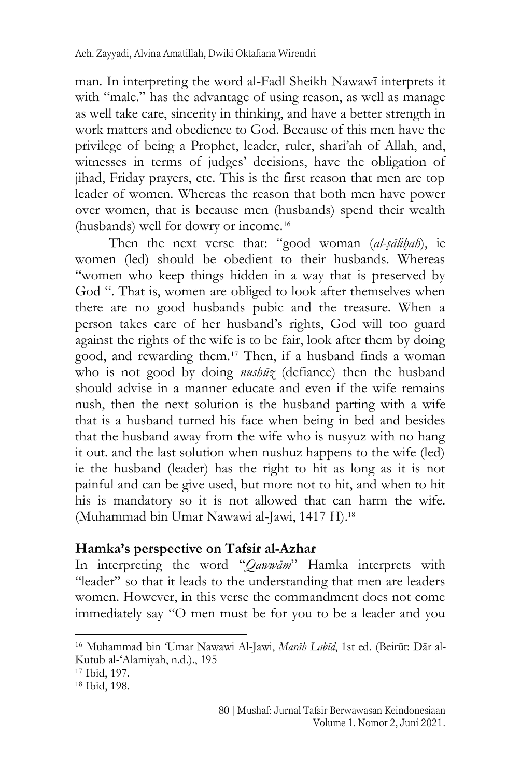man. In interpreting the word al-Fadl Sheikh Nawawī interprets it with "male." has the advantage of using reason, as well as manage as well take care, sincerity in thinking, and have a better strength in work matters and obedience to God. Because of this men have the privilege of being a Prophet, leader, ruler, shari'ah of Allah, and, witnesses in terms of judges' decisions, have the obligation of jihad, Friday prayers, etc. This is the first reason that men are top leader of women. Whereas the reason that both men have power over women, that is because men (husbands) spend their wealth (husbands) well for dowry or income.<sup>16</sup>

Then the next verse that: "good woman (*al-s*}*ālih*}*ah*), ie women (led) should be obedient to their husbands. Whereas "women who keep things hidden in a way that is preserved by God ". That is, women are obliged to look after themselves when there are no good husbands pubic and the treasure. When a person takes care of her husband's rights, God will too guard against the rights of the wife is to be fair, look after them by doing good, and rewarding them.<sup>17</sup> Then, if a husband finds a woman who is not good by doing *nushūz* (defiance) then the husband should advise in a manner educate and even if the wife remains nush, then the next solution is the husband parting with a wife that is a husband turned his face when being in bed and besides that the husband away from the wife who is nusyuz with no hang it out. and the last solution when nushuz happens to the wife (led) ie the husband (leader) has the right to hit as long as it is not painful and can be give used, but more not to hit, and when to hit his is mandatory so it is not allowed that can harm the wife. (Muhammad bin Umar Nawawi al-Jawi, 1417 H).<sup>18</sup>

#### **Hamka's perspective on Tafsir al-Azhar**

In interpreting the word "*Qawwām*" Hamka interprets with "leader" so that it leads to the understanding that men are leaders women. However, in this verse the commandment does not come immediately say "O men must be for you to be a leader and you

<sup>16</sup> Muhammad bin 'Umar Nawawi Al-Jawi, *Marāh Labīd*, 1st ed. (Beirūt: Dār al-Kutub al-'Alamiyah, n.d.)., 195

<sup>17</sup> Ibid, 197.

<sup>18</sup> Ibid, 198.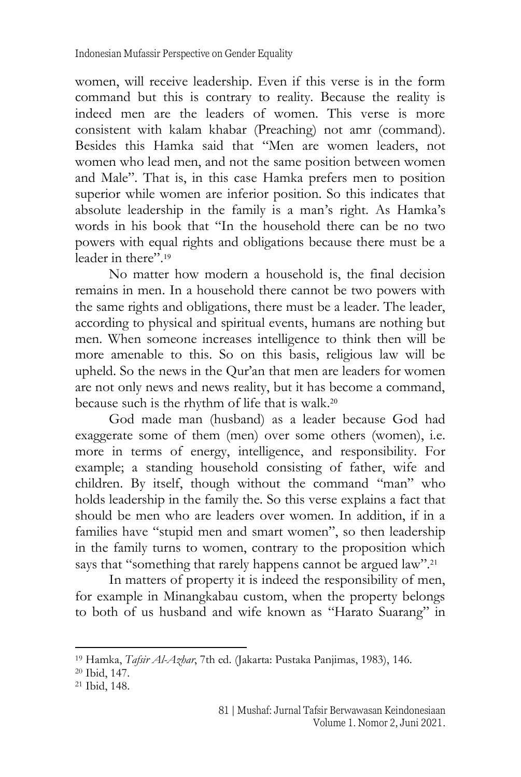women, will receive leadership. Even if this verse is in the form command but this is contrary to reality. Because the reality is indeed men are the leaders of women. This verse is more consistent with kalam khabar (Preaching) not amr (command). Besides this Hamka said that "Men are women leaders, not women who lead men, and not the same position between women and Male". That is, in this case Hamka prefers men to position superior while women are inferior position. So this indicates that absolute leadership in the family is a man's right. As Hamka's words in his book that "In the household there can be no two powers with equal rights and obligations because there must be a leader in there". 19

No matter how modern a household is, the final decision remains in men. In a household there cannot be two powers with the same rights and obligations, there must be a leader. The leader, according to physical and spiritual events, humans are nothing but men. When someone increases intelligence to think then will be more amenable to this. So on this basis, religious law will be upheld. So the news in the Qur'an that men are leaders for women are not only news and news reality, but it has become a command, because such is the rhythm of life that is walk.<sup>20</sup>

God made man (husband) as a leader because God had exaggerate some of them (men) over some others (women), i.e. more in terms of energy, intelligence, and responsibility. For example; a standing household consisting of father, wife and children. By itself, though without the command "man" who holds leadership in the family the. So this verse explains a fact that should be men who are leaders over women. In addition, if in a families have "stupid men and smart women", so then leadership in the family turns to women, contrary to the proposition which says that "something that rarely happens cannot be argued law".<sup>21</sup>

In matters of property it is indeed the responsibility of men, for example in Minangkabau custom, when the property belongs to both of us husband and wife known as "Harato Suarang" in

<sup>19</sup> Hamka, *Tafsir Al-Azhar*, 7th ed. (Jakarta: Pustaka Panjimas, 1983), 146.

<sup>20</sup> Ibid, 147.

<sup>21</sup> Ibid, 148.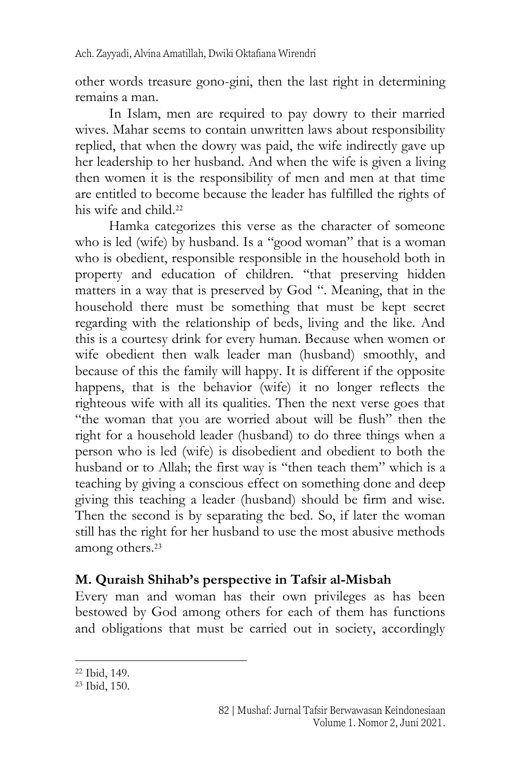other words treasure gono-gini, then the last right in determining remains a man.

In Islam, men are required to pay dowry to their married wives. Mahar seems to contain unwritten laws about responsibility replied, that when the dowry was paid, the wife indirectly gave up her leadership to her husband. And when the wife is given a living then women it is the responsibility of men and men at that time are entitled to become because the leader has fulfilled the rights of his wife and child<sup>22</sup>

Hamka categorizes this verse as the character of someone who is led (wife) by husband. Is a "good woman" that is a woman who is obedient, responsible responsible in the household both in property and education of children. "that preserving hidden matters in a way that is preserved by God ". Meaning, that in the household there must be something that must be kept secret regarding with the relationship of beds, living and the like. And this is a courtesy drink for every human. Because when women or wife obedient then walk leader man (husband) smoothly, and because of this the family will happy. It is different if the opposite happens, that is the behavior (wife) it no longer reflects the righteous wife with all its qualities. Then the next verse goes that "the woman that you are worried about will be flush" then the right for a household leader (husband) to do three things when a person who is led (wife) is disobedient and obedient to both the husband or to Allah; the first way is "then teach them" which is a teaching by giving a conscious effect on something done and deep giving this teaching a leader (husband) should be firm and wise. Then the second is by separating the bed. So, if later the woman still has the right for her husband to use the most abusive methods among others.<sup>23</sup>

#### **M. Quraish Shihab's perspective in Tafsir al-Misbah**

Every man and woman has their own privileges as has been bestowed by God among others for each of them has functions and obligations that must be carried out in society, accordingly

<sup>22</sup> Ibid, 149.

<sup>23</sup> Ibid, 150.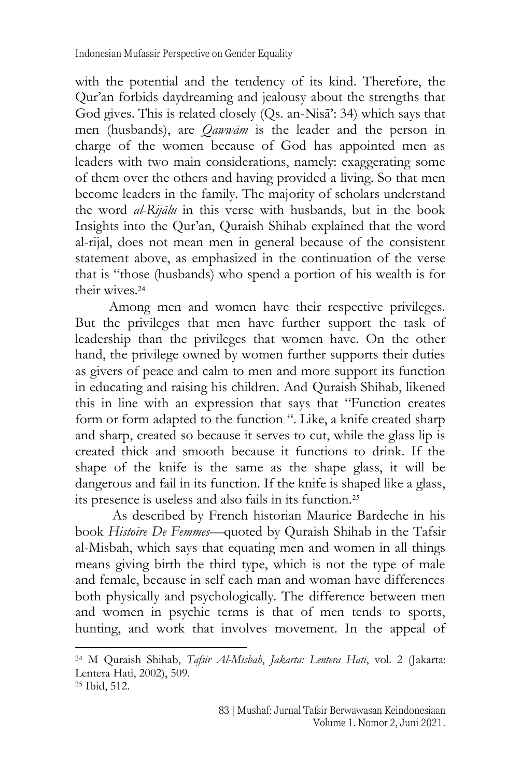with the potential and the tendency of its kind. Therefore, the Qur'an forbids daydreaming and jealousy about the strengths that God gives. This is related closely (Qs. an-Nisā': 34) which says that men (husbands), are *Qawwām* is the leader and the person in charge of the women because of God has appointed men as leaders with two main considerations, namely: exaggerating some of them over the others and having provided a living. So that men become leaders in the family. The majority of scholars understand the word *al-Rijālu* in this verse with husbands, but in the book Insights into the Qur'an, Quraish Shihab explained that the word al-rijal, does not mean men in general because of the consistent statement above, as emphasized in the continuation of the verse that is "those (husbands) who spend a portion of his wealth is for their wives.<sup>24</sup>

Among men and women have their respective privileges. But the privileges that men have further support the task of leadership than the privileges that women have. On the other hand, the privilege owned by women further supports their duties as givers of peace and calm to men and more support its function in educating and raising his children. And Quraish Shihab, likened this in line with an expression that says that "Function creates form or form adapted to the function ". Like, a knife created sharp and sharp, created so because it serves to cut, while the glass lip is created thick and smooth because it functions to drink. If the shape of the knife is the same as the shape glass, it will be dangerous and fail in its function. If the knife is shaped like a glass, its presence is useless and also fails in its function.<sup>25</sup>

As described by French historian Maurice Bardeche in his book *Histoire De Femmes*—quoted by Quraish Shihab in the Tafsir al-Misbah, which says that equating men and women in all things means giving birth the third type, which is not the type of male and female, because in self each man and woman have differences both physically and psychologically. The difference between men and women in psychic terms is that of men tends to sports, hunting, and work that involves movement. In the appeal of

<sup>24</sup> M Quraish Shihab, *Tafsir Al-Misbah*, *Jakarta: Lentera Hati*, vol. 2 (Jakarta: Lentera Hati, 2002), 509.

<sup>25</sup> Ibid, 512.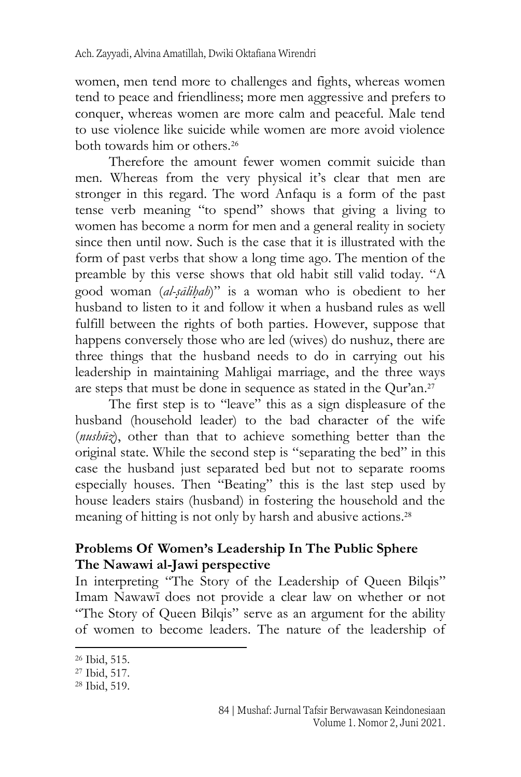women, men tend more to challenges and fights, whereas women tend to peace and friendliness; more men aggressive and prefers to conquer, whereas women are more calm and peaceful. Male tend to use violence like suicide while women are more avoid violence both towards him or others.<sup>26</sup>

Therefore the amount fewer women commit suicide than men. Whereas from the very physical it's clear that men are stronger in this regard. The word Anfaqu is a form of the past tense verb meaning "to spend" shows that giving a living to women has become a norm for men and a general reality in society since then until now. Such is the case that it is illustrated with the form of past verbs that show a long time ago. The mention of the preamble by this verse shows that old habit still valid today. "A good woman *(al-sālihah)*" is a woman who is obedient to her husband to listen to it and follow it when a husband rules as well fulfill between the rights of both parties. However, suppose that happens conversely those who are led (wives) do nushuz, there are three things that the husband needs to do in carrying out his leadership in maintaining Mahligai marriage, and the three ways are steps that must be done in sequence as stated in the Qur'an. 27

The first step is to "leave" this as a sign displeasure of the husband (household leader) to the bad character of the wife (*nushūz*), other than that to achieve something better than the original state. While the second step is "separating the bed" in this case the husband just separated bed but not to separate rooms especially houses. Then "Beating" this is the last step used by house leaders stairs (husband) in fostering the household and the meaning of hitting is not only by harsh and abusive actions. 28

#### **Problems Of Women's Leadership In The Public Sphere The Nawawi al-Jawi perspective**

In interpreting "The Story of the Leadership of Queen Bilqis" Imam Nawawī does not provide a clear law on whether or not "The Story of Queen Bilqis" serve as an argument for the ability of women to become leaders. The nature of the leadership of

<sup>26</sup> Ibid, 515.

<sup>27</sup> Ibid, 517.

<sup>28</sup> Ibid, 519.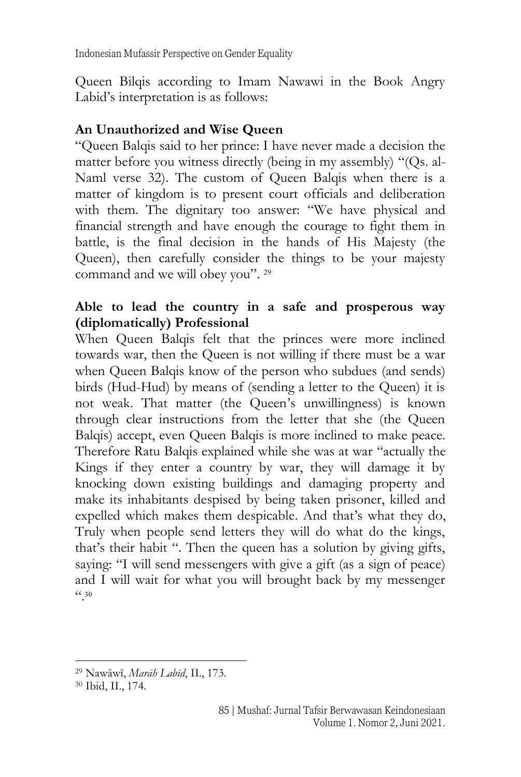Indonesian Mufassir Perspective on Gender Equality

Queen Bilqis according to Imam Nawawi in the Book Angry Labid's interpretation is as follows:

#### **An Unauthorized and Wise Queen**

"Queen Balqis said to her prince: I have never made a decision the matter before you witness directly (being in my assembly) "(Qs. al-Naml verse 32). The custom of Queen Balqis when there is a matter of kingdom is to present court officials and deliberation with them. The dignitary too answer: "We have physical and financial strength and have enough the courage to fight them in battle, is the final decision in the hands of His Majesty (the Queen), then carefully consider the things to be your majesty command and we will obey you". 29

#### **Able to lead the country in a safe and prosperous way (diplomatically) Professional**

When Queen Balqis felt that the princes were more inclined towards war, then the Queen is not willing if there must be a war when Queen Balqis know of the person who subdues (and sends) birds (Hud-Hud) by means of (sending a letter to the Queen) it is not weak. That matter (the Queen's unwillingness) is known through clear instructions from the letter that she (the Queen Balqis) accept, even Queen Balqis is more inclined to make peace. Therefore Ratu Balqis explained while she was at war "actually the Kings if they enter a country by war, they will damage it by knocking down existing buildings and damaging property and make its inhabitants despised by being taken prisoner, killed and expelled which makes them despicable. And that's what they do, Truly when people send letters they will do what do the kings, that's their habit ". Then the queen has a solution by giving gifts, saying: "I will send messengers with give a gift (as a sign of peace) and I will wait for what you will brought back by my messenger ". 30

<sup>29</sup> Nawāwī, *Marāh Labīd*, II., 173.

<sup>30</sup> Ibid, II., 174.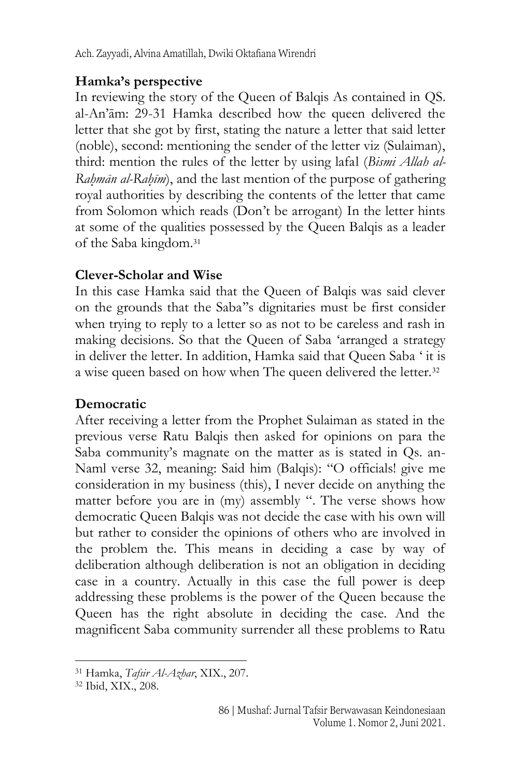#### **Hamka's perspective**

In reviewing the story of the Queen of Balqis As contained in QS. al-An'ām: 29-31 Hamka described how the queen delivered the letter that she got by first, stating the nature a letter that said letter (noble), second: mentioning the sender of the letter viz (Sulaiman), third: mention the rules of the letter by using lafal (*Bismi Allah al-Rah*}*mān al-Rah*}*īm*), and the last mention of the purpose of gathering royal authorities by describing the contents of the letter that came from Solomon which reads (Don't be arrogant) In the letter hints at some of the qualities possessed by the Queen Balqis as a leader of the Saba kingdom. 31

#### **Clever-Scholar and Wise**

In this case Hamka said that the Queen of Balqis was said clever on the grounds that the Saba''s dignitaries must be first consider when trying to reply to a letter so as not to be careless and rash in making decisions. So that the Queen of Saba 'arranged a strategy in deliver the letter. In addition, Hamka said that Queen Saba ' it is a wise queen based on how when The queen delivered the letter.<sup>32</sup>

#### **Democratic**

After receiving a letter from the Prophet Sulaiman as stated in the previous verse Ratu Balqis then asked for opinions on para the Saba community's magnate on the matter as is stated in Qs. an-Naml verse 32, meaning: Said him (Balqis): "O officials! give me consideration in my business (this), I never decide on anything the matter before you are in (my) assembly ". The verse shows how democratic Queen Balqis was not decide the case with his own will but rather to consider the opinions of others who are involved in the problem the. This means in deciding a case by way of deliberation although deliberation is not an obligation in deciding case in a country. Actually in this case the full power is deep addressing these problems is the power of the Queen because the Queen has the right absolute in deciding the case. And the magnificent Saba community surrender all these problems to Ratu

<sup>31</sup> Hamka, *Tafsir Al-Azhar*, XIX., 207.

<sup>32</sup> Ibid, XIX., 208.

<sup>86</sup> | Mushaf: Jurnal Tafsir Berwawasan Keindonesiaan Volume 1. Nomor 2, Juni 2021.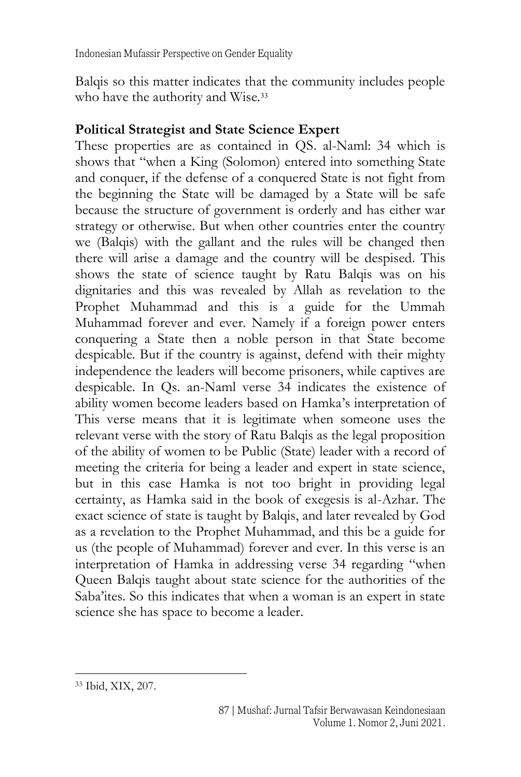Balqis so this matter indicates that the community includes people who have the authority and Wise.<sup>33</sup>

#### **Political Strategist and State Science Expert**

These properties are as contained in QS. al-Naml: 34 which is shows that "when a King (Solomon) entered into something State and conquer, if the defense of a conquered State is not fight from the beginning the State will be damaged by a State will be safe because the structure of government is orderly and has either war strategy or otherwise. But when other countries enter the country we (Balqis) with the gallant and the rules will be changed then there will arise a damage and the country will be despised. This shows the state of science taught by Ratu Balqis was on his dignitaries and this was revealed by Allah as revelation to the Prophet Muhammad and this is a guide for the Ummah Muhammad forever and ever. Namely if a foreign power enters conquering a State then a noble person in that State become despicable. But if the country is against, defend with their mighty independence the leaders will become prisoners, while captives are despicable. In Qs. an-Naml verse 34 indicates the existence of ability women become leaders based on Hamka's interpretation of This verse means that it is legitimate when someone uses the relevant verse with the story of Ratu Balqis as the legal proposition of the ability of women to be Public (State) leader with a record of meeting the criteria for being a leader and expert in state science, but in this case Hamka is not too bright in providing legal certainty, as Hamka said in the book of exegesis is al-Azhar. The exact science of state is taught by Balqis, and later revealed by God as a revelation to the Prophet Muhammad, and this be a guide for us (the people of Muhammad) forever and ever. In this verse is an interpretation of Hamka in addressing verse 34 regarding "when Queen Balqis taught about state science for the authorities of the Saba'ites. So this indicates that when a woman is an expert in state science she has space to become a leader.

<sup>33</sup> Ibid, XIX, 207.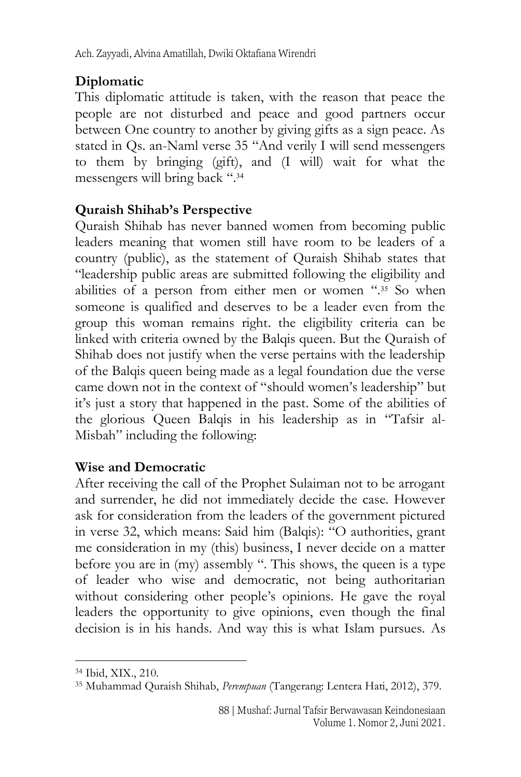# **Diplomatic**

This diplomatic attitude is taken, with the reason that peace the people are not disturbed and peace and good partners occur between One country to another by giving gifts as a sign peace. As stated in Qs. an-Naml verse 35 "And verily I will send messengers to them by bringing (gift), and (I will) wait for what the messengers will bring back ". 34

# **Quraish Shihab's Perspective**

Quraish Shihab has never banned women from becoming public leaders meaning that women still have room to be leaders of a country (public), as the statement of Quraish Shihab states that "leadership public areas are submitted following the eligibility and abilities of a person from either men or women ".35 So when someone is qualified and deserves to be a leader even from the group this woman remains right. the eligibility criteria can be linked with criteria owned by the Balqis queen. But the Quraish of Shihab does not justify when the verse pertains with the leadership of the Balqis queen being made as a legal foundation due the verse came down not in the context of "should women's leadership" but it's just a story that happened in the past. Some of the abilities of the glorious Queen Balqis in his leadership as in "Tafsir al-Misbah" including the following:

# **Wise and Democratic**

After receiving the call of the Prophet Sulaiman not to be arrogant and surrender, he did not immediately decide the case. However ask for consideration from the leaders of the government pictured in verse 32, which means: Said him (Balqis): "O authorities, grant me consideration in my (this) business, I never decide on a matter before you are in (my) assembly ". This shows, the queen is a type of leader who wise and democratic, not being authoritarian without considering other people's opinions. He gave the royal leaders the opportunity to give opinions, even though the final decision is in his hands. And way this is what Islam pursues. As

<sup>34</sup> Ibid, XIX., 210.

<sup>35</sup> Muhammad Quraish Shihab, *Perempuan* (Tangerang: Lentera Hati, 2012), 379.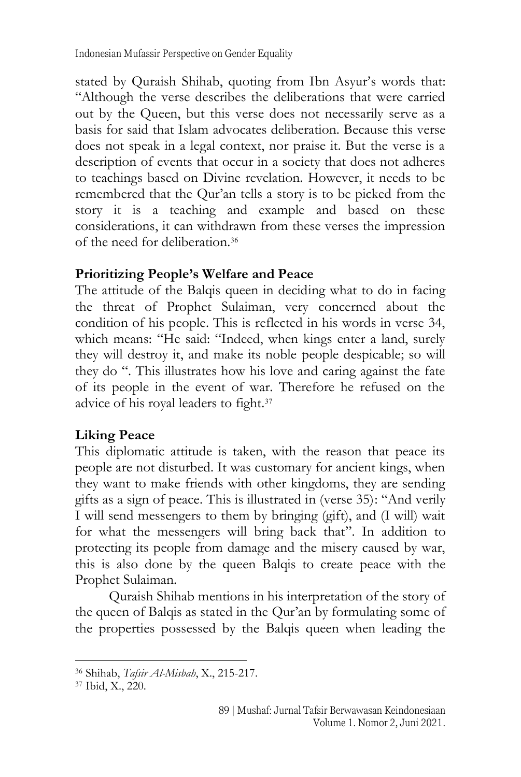stated by Quraish Shihab, quoting from Ibn Asyur's words that: "Although the verse describes the deliberations that were carried out by the Queen, but this verse does not necessarily serve as a basis for said that Islam advocates deliberation. Because this verse does not speak in a legal context, nor praise it. But the verse is a description of events that occur in a society that does not adheres to teachings based on Divine revelation. However, it needs to be remembered that the Qur'an tells a story is to be picked from the story it is a teaching and example and based on these considerations, it can withdrawn from these verses the impression of the need for deliberation.<sup>36</sup>

#### **Prioritizing People's Welfare and Peace**

The attitude of the Balqis queen in deciding what to do in facing the threat of Prophet Sulaiman, very concerned about the condition of his people. This is reflected in his words in verse 34, which means: "He said: "Indeed, when kings enter a land, surely they will destroy it, and make its noble people despicable; so will they do ". This illustrates how his love and caring against the fate of its people in the event of war. Therefore he refused on the advice of his royal leaders to fight.<sup>37</sup>

# **Liking Peace**

This diplomatic attitude is taken, with the reason that peace its people are not disturbed. It was customary for ancient kings, when they want to make friends with other kingdoms, they are sending gifts as a sign of peace. This is illustrated in (verse 35): "And verily I will send messengers to them by bringing (gift), and (I will) wait for what the messengers will bring back that". In addition to protecting its people from damage and the misery caused by war, this is also done by the queen Balqis to create peace with the Prophet Sulaiman.

Quraish Shihab mentions in his interpretation of the story of the queen of Balqis as stated in the Qur'an by formulating some of the properties possessed by the Balqis queen when leading the

<sup>36</sup> Shihab, *Tafsir Al-Misbah*, X., 215-217.

<sup>37</sup> Ibid, X., 220.

<sup>89</sup> | Mushaf: Jurnal Tafsir Berwawasan Keindonesiaan Volume 1. Nomor 2, Juni 2021.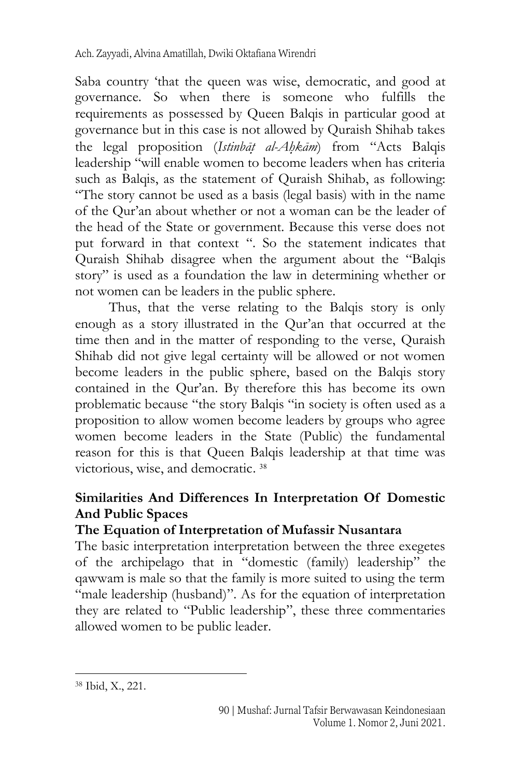Saba country 'that the queen was wise, democratic, and good at governance. So when there is someone who fulfills the requirements as possessed by Queen Balqis in particular good at governance but in this case is not allowed by Quraish Shihab takes the legal proposition (*Istinbāt*} *al-Ah*}*kām*) from "Acts Balqis leadership "will enable women to become leaders when has criteria such as Balqis, as the statement of Quraish Shihab, as following: "The story cannot be used as a basis (legal basis) with in the name of the Qur'an about whether or not a woman can be the leader of the head of the State or government. Because this verse does not put forward in that context ". So the statement indicates that Quraish Shihab disagree when the argument about the "Balqis story" is used as a foundation the law in determining whether or not women can be leaders in the public sphere.

Thus, that the verse relating to the Balqis story is only enough as a story illustrated in the Qur'an that occurred at the time then and in the matter of responding to the verse, Quraish Shihab did not give legal certainty will be allowed or not women become leaders in the public sphere, based on the Balqis story contained in the Qur'an. By therefore this has become its own problematic because "the story Balqis "in society is often used as a proposition to allow women become leaders by groups who agree women become leaders in the State (Public) the fundamental reason for this is that Queen Balqis leadership at that time was victorious, wise, and democratic. 38

# **Similarities And Differences In Interpretation Of Domestic And Public Spaces**

#### **The Equation of Interpretation of Mufassir Nusantara**

The basic interpretation interpretation between the three exegetes of the archipelago that in "domestic (family) leadership" the qawwam is male so that the family is more suited to using the term "male leadership (husband)". As for the equation of interpretation they are related to "Public leadership", these three commentaries allowed women to be public leader.

<sup>38</sup> Ibid, X., 221.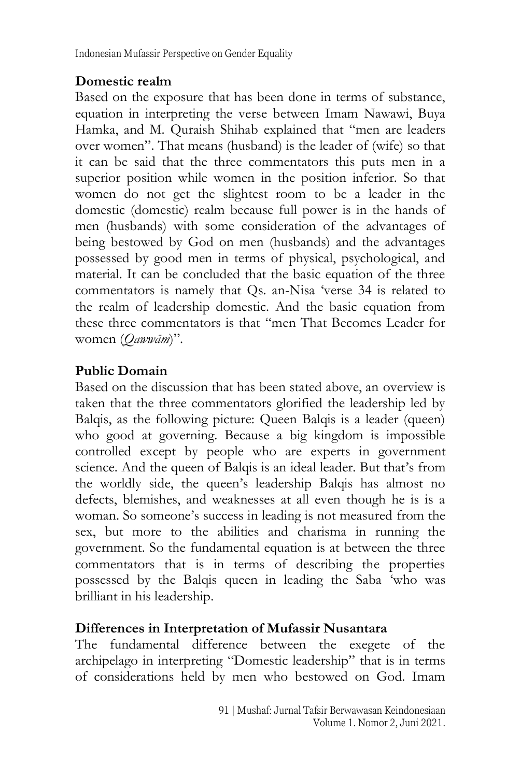Indonesian Mufassir Perspective on Gender Equality

#### **Domestic realm**

Based on the exposure that has been done in terms of substance, equation in interpreting the verse between Imam Nawawi, Buya Hamka, and M. Quraish Shihab explained that "men are leaders over women". That means (husband) is the leader of (wife) so that it can be said that the three commentators this puts men in a superior position while women in the position inferior. So that women do not get the slightest room to be a leader in the domestic (domestic) realm because full power is in the hands of men (husbands) with some consideration of the advantages of being bestowed by God on men (husbands) and the advantages possessed by good men in terms of physical, psychological, and material. It can be concluded that the basic equation of the three commentators is namely that Qs. an-Nisa 'verse 34 is related to the realm of leadership domestic. And the basic equation from these three commentators is that "men That Becomes Leader for women (*Qawwām*)".

# **Public Domain**

Based on the discussion that has been stated above, an overview is taken that the three commentators glorified the leadership led by Balqis, as the following picture: Queen Balqis is a leader (queen) who good at governing. Because a big kingdom is impossible controlled except by people who are experts in government science. And the queen of Balqis is an ideal leader. But that's from the worldly side, the queen's leadership Balqis has almost no defects, blemishes, and weaknesses at all even though he is is a woman. So someone's success in leading is not measured from the sex, but more to the abilities and charisma in running the government. So the fundamental equation is at between the three commentators that is in terms of describing the properties possessed by the Balqis queen in leading the Saba 'who was brilliant in his leadership.

#### **Differences in Interpretation of Mufassir Nusantara**

The fundamental difference between the exegete of the archipelago in interpreting "Domestic leadership" that is in terms of considerations held by men who bestowed on God. Imam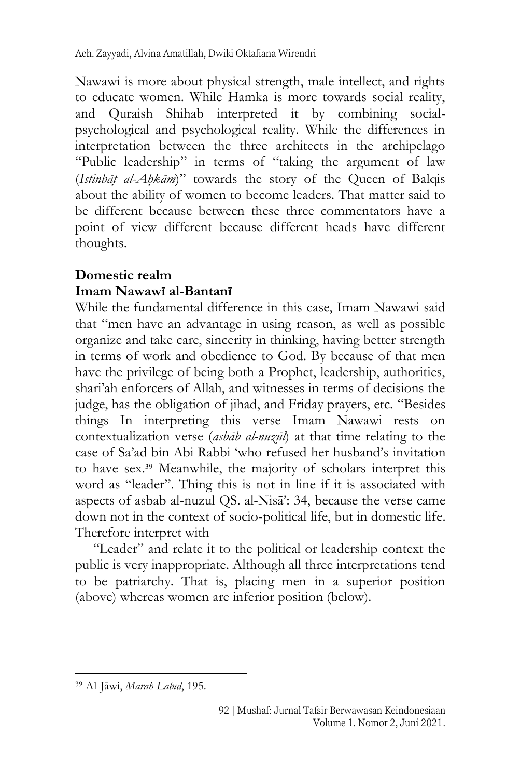Nawawi is more about physical strength, male intellect, and rights to educate women. While Hamka is more towards social reality, and Quraish Shihab interpreted it by combining socialpsychological and psychological reality. While the differences in interpretation between the three architects in the archipelago "Public leadership" in terms of "taking the argument of law (*Istinbāt*} *al-Ah*}*kām*)" towards the story of the Queen of Balqis about the ability of women to become leaders. That matter said to be different because between these three commentators have a point of view different because different heads have different thoughts.

# **Domestic realm**

#### **Imam Nawawī al-Bantanī**

While the fundamental difference in this case, Imam Nawawi said that "men have an advantage in using reason, as well as possible organize and take care, sincerity in thinking, having better strength in terms of work and obedience to God. By because of that men have the privilege of being both a Prophet, leadership, authorities, shari'ah enforcers of Allah, and witnesses in terms of decisions the judge, has the obligation of jihad, and Friday prayers, etc. "Besides things In interpreting this verse Imam Nawawi rests on contextualization verse (*asbāb al-nuzūl*) at that time relating to the case of Sa'ad bin Abi Rabbi 'who refused her husband's invitation to have sex. <sup>39</sup> Meanwhile, the majority of scholars interpret this word as "leader". Thing this is not in line if it is associated with aspects of asbab al-nuzul QS. al-Nisā': 34, because the verse came down not in the context of socio-political life, but in domestic life. Therefore interpret with

"Leader" and relate it to the political or leadership context the public is very inappropriate. Although all three interpretations tend to be patriarchy. That is, placing men in a superior position (above) whereas women are inferior position (below).

<sup>39</sup> Al-Jāwi, *Marāh Labīd*, 195.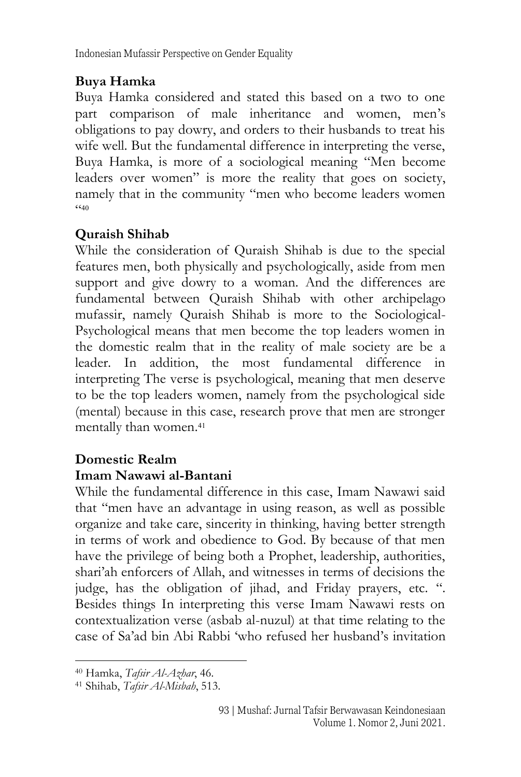Indonesian Mufassir Perspective on Gender Equality

# **Buya Hamka**

Buya Hamka considered and stated this based on a two to one part comparison of male inheritance and women, men's obligations to pay dowry, and orders to their husbands to treat his wife well. But the fundamental difference in interpreting the verse, Buya Hamka, is more of a sociological meaning "Men become leaders over women" is more the reality that goes on society, namely that in the community "men who become leaders women  $(40$ 

# **Quraish Shihab**

While the consideration of Quraish Shihab is due to the special features men, both physically and psychologically, aside from men support and give dowry to a woman. And the differences are fundamental between Quraish Shihab with other archipelago mufassir, namely Quraish Shihab is more to the Sociological-Psychological means that men become the top leaders women in the domestic realm that in the reality of male society are be a leader. In addition, the most fundamental difference in interpreting The verse is psychological, meaning that men deserve to be the top leaders women, namely from the psychological side (mental) because in this case, research prove that men are stronger mentally than women.<sup>41</sup>

# **Domestic Realm**

# **Imam Nawawi al-Bantani**

While the fundamental difference in this case, Imam Nawawi said that "men have an advantage in using reason, as well as possible organize and take care, sincerity in thinking, having better strength in terms of work and obedience to God. By because of that men have the privilege of being both a Prophet, leadership, authorities, shari'ah enforcers of Allah, and witnesses in terms of decisions the judge, has the obligation of jihad, and Friday prayers, etc. ". Besides things In interpreting this verse Imam Nawawi rests on contextualization verse (asbab al-nuzul) at that time relating to the case of Sa'ad bin Abi Rabbi 'who refused her husband's invitation

<sup>40</sup> Hamka, *Tafsir Al-Azhar*, 46.

<sup>41</sup> Shihab, *Tafsir Al-Misbah*, 513.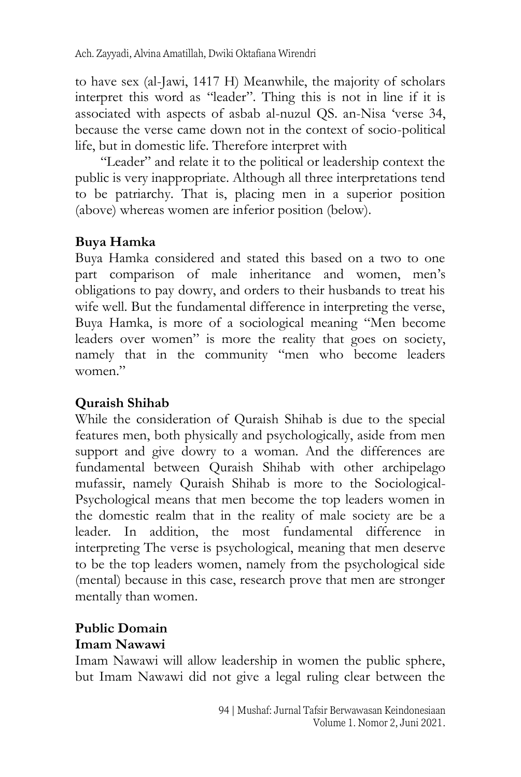to have sex (al-Jawi, 1417 H) Meanwhile, the majority of scholars interpret this word as "leader". Thing this is not in line if it is associated with aspects of asbab al-nuzul QS. an-Nisa 'verse 34, because the verse came down not in the context of socio-political life, but in domestic life. Therefore interpret with

"Leader" and relate it to the political or leadership context the public is very inappropriate. Although all three interpretations tend to be patriarchy. That is, placing men in a superior position (above) whereas women are inferior position (below).

#### **Buya Hamka**

Buya Hamka considered and stated this based on a two to one part comparison of male inheritance and women, men's obligations to pay dowry, and orders to their husbands to treat his wife well. But the fundamental difference in interpreting the verse, Buya Hamka, is more of a sociological meaning "Men become leaders over women" is more the reality that goes on society, namely that in the community "men who become leaders women."

#### **Quraish Shihab**

While the consideration of Quraish Shihab is due to the special features men, both physically and psychologically, aside from men support and give dowry to a woman. And the differences are fundamental between Quraish Shihab with other archipelago mufassir, namely Quraish Shihab is more to the Sociological-Psychological means that men become the top leaders women in the domestic realm that in the reality of male society are be a leader. In addition, the most fundamental difference in interpreting The verse is psychological, meaning that men deserve to be the top leaders women, namely from the psychological side (mental) because in this case, research prove that men are stronger mentally than women.

#### **Public Domain Imam Nawawi**

Imam Nawawi will allow leadership in women the public sphere, but Imam Nawawi did not give a legal ruling clear between the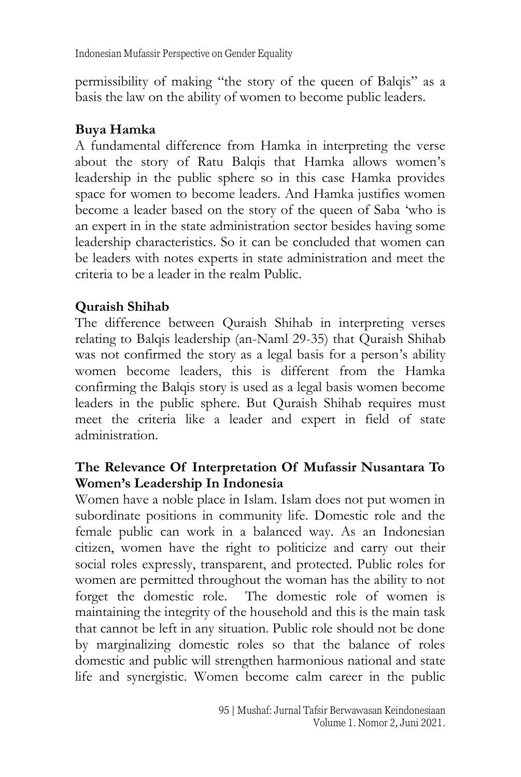Indonesian Mufassir Perspective on Gender Equality

permissibility of making "the story of the queen of Balqis" as a basis the law on the ability of women to become public leaders.

#### **Buya Hamka**

A fundamental difference from Hamka in interpreting the verse about the story of Ratu Balqis that Hamka allows women's leadership in the public sphere so in this case Hamka provides space for women to become leaders. And Hamka justifies women become a leader based on the story of the queen of Saba 'who is an expert in in the state administration sector besides having some leadership characteristics. So it can be concluded that women can be leaders with notes experts in state administration and meet the criteria to be a leader in the realm Public.

# **Quraish Shihab**

The difference between Quraish Shihab in interpreting verses relating to Balqis leadership (an-Naml 29-35) that Quraish Shihab was not confirmed the story as a legal basis for a person's ability women become leaders, this is different from the Hamka confirming the Balqis story is used as a legal basis women become leaders in the public sphere. But Quraish Shihab requires must meet the criteria like a leader and expert in field of state administration.

#### **The Relevance Of Interpretation Of Mufassir Nusantara To Women's Leadership In Indonesia**

Women have a noble place in Islam. Islam does not put women in subordinate positions in community life. Domestic role and the female public can work in a balanced way. As an Indonesian citizen, women have the right to politicize and carry out their social roles expressly, transparent, and protected. Public roles for women are permitted throughout the woman has the ability to not forget the domestic role. The domestic role of women is maintaining the integrity of the household and this is the main task that cannot be left in any situation. Public role should not be done by marginalizing domestic roles so that the balance of roles domestic and public will strengthen harmonious national and state life and synergistic. Women become calm career in the public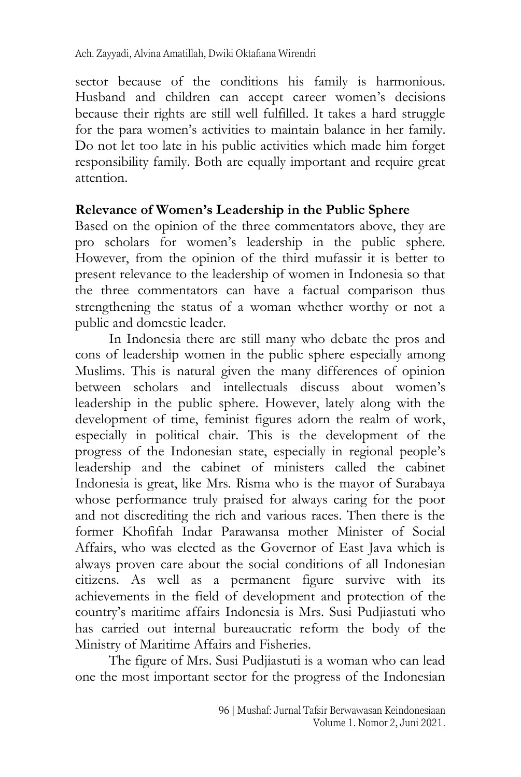sector because of the conditions his family is harmonious. Husband and children can accept career women's decisions because their rights are still well fulfilled. It takes a hard struggle for the para women's activities to maintain balance in her family. Do not let too late in his public activities which made him forget responsibility family. Both are equally important and require great attention.

#### **Relevance of Women's Leadership in the Public Sphere**

Based on the opinion of the three commentators above, they are pro scholars for women's leadership in the public sphere. However, from the opinion of the third mufassir it is better to present relevance to the leadership of women in Indonesia so that the three commentators can have a factual comparison thus strengthening the status of a woman whether worthy or not a public and domestic leader.

In Indonesia there are still many who debate the pros and cons of leadership women in the public sphere especially among Muslims. This is natural given the many differences of opinion between scholars and intellectuals discuss about women's leadership in the public sphere. However, lately along with the development of time, feminist figures adorn the realm of work, especially in political chair. This is the development of the progress of the Indonesian state, especially in regional people's leadership and the cabinet of ministers called the cabinet Indonesia is great, like Mrs. Risma who is the mayor of Surabaya whose performance truly praised for always caring for the poor and not discrediting the rich and various races. Then there is the former Khofifah Indar Parawansa mother Minister of Social Affairs, who was elected as the Governor of East Java which is always proven care about the social conditions of all Indonesian citizens. As well as a permanent figure survive with its achievements in the field of development and protection of the country's maritime affairs Indonesia is Mrs. Susi Pudjiastuti who has carried out internal bureaucratic reform the body of the Ministry of Maritime Affairs and Fisheries.

The figure of Mrs. Susi Pudjiastuti is a woman who can lead one the most important sector for the progress of the Indonesian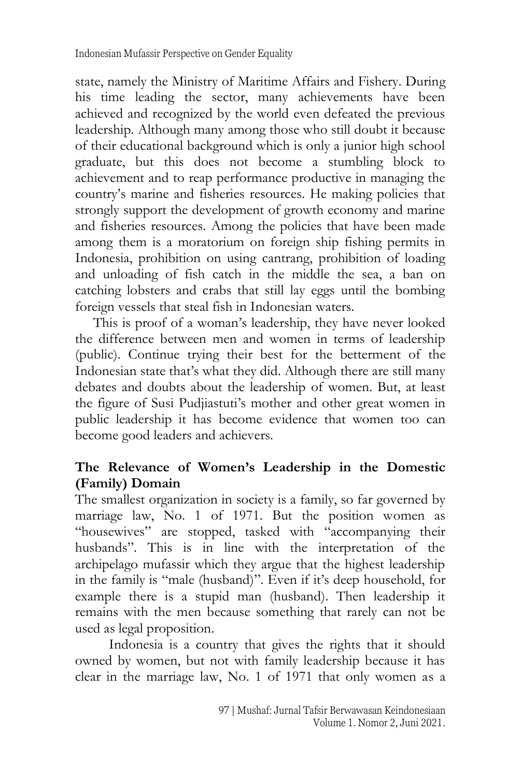state, namely the Ministry of Maritime Affairs and Fishery. During his time leading the sector, many achievements have been achieved and recognized by the world even defeated the previous leadership. Although many among those who still doubt it because of their educational background which is only a junior high school graduate, but this does not become a stumbling block to achievement and to reap performance productive in managing the country's marine and fisheries resources. He making policies that strongly support the development of growth economy and marine and fisheries resources. Among the policies that have been made among them is a moratorium on foreign ship fishing permits in Indonesia, prohibition on using cantrang, prohibition of loading and unloading of fish catch in the middle the sea, a ban on catching lobsters and crabs that still lay eggs until the bombing foreign vessels that steal fish in Indonesian waters.

This is proof of a woman's leadership, they have never looked the difference between men and women in terms of leadership (public). Continue trying their best for the betterment of the Indonesian state that's what they did. Although there are still many debates and doubts about the leadership of women. But, at least the figure of Susi Pudjiastuti's mother and other great women in public leadership it has become evidence that women too can become good leaders and achievers.

#### **The Relevance of Women's Leadership in the Domestic (Family) Domain**

The smallest organization in society is a family, so far governed by marriage law, No. 1 of 1971. But the position women as "housewives" are stopped, tasked with "accompanying their husbands". This is in line with the interpretation of the archipelago mufassir which they argue that the highest leadership in the family is "male (husband)". Even if it's deep household, for example there is a stupid man (husband). Then leadership it remains with the men because something that rarely can not be used as legal proposition.

Indonesia is a country that gives the rights that it should owned by women, but not with family leadership because it has clear in the marriage law, No. 1 of 1971 that only women as a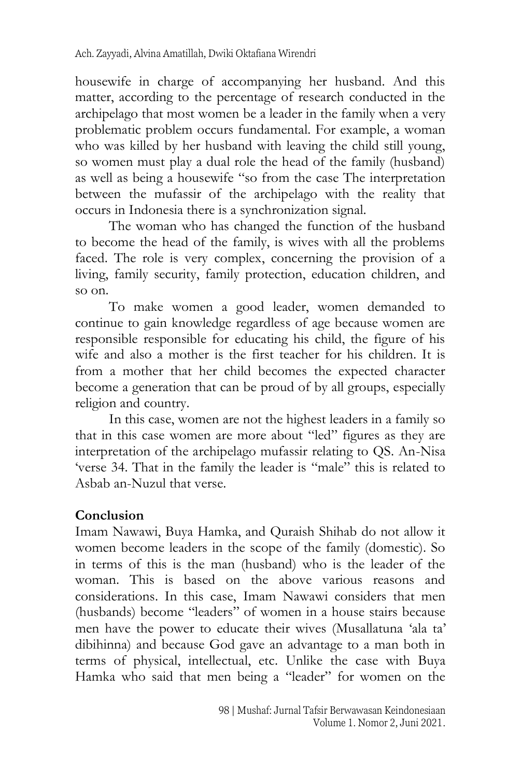housewife in charge of accompanying her husband. And this matter, according to the percentage of research conducted in the archipelago that most women be a leader in the family when a very problematic problem occurs fundamental. For example, a woman who was killed by her husband with leaving the child still young, so women must play a dual role the head of the family (husband) as well as being a housewife "so from the case The interpretation between the mufassir of the archipelago with the reality that occurs in Indonesia there is a synchronization signal.

The woman who has changed the function of the husband to become the head of the family, is wives with all the problems faced. The role is very complex, concerning the provision of a living, family security, family protection, education children, and so on.

To make women a good leader, women demanded to continue to gain knowledge regardless of age because women are responsible responsible for educating his child, the figure of his wife and also a mother is the first teacher for his children. It is from a mother that her child becomes the expected character become a generation that can be proud of by all groups, especially religion and country.

In this case, women are not the highest leaders in a family so that in this case women are more about "led" figures as they are interpretation of the archipelago mufassir relating to QS. An-Nisa 'verse 34. That in the family the leader is "male" this is related to Asbab an-Nuzul that verse.

# **Conclusion**

Imam Nawawi, Buya Hamka, and Quraish Shihab do not allow it women become leaders in the scope of the family (domestic). So in terms of this is the man (husband) who is the leader of the woman. This is based on the above various reasons and considerations. In this case, Imam Nawawi considers that men (husbands) become "leaders" of women in a house stairs because men have the power to educate their wives (Musallatuna 'ala ta' dibihinna) and because God gave an advantage to a man both in terms of physical, intellectual, etc. Unlike the case with Buya Hamka who said that men being a "leader" for women on the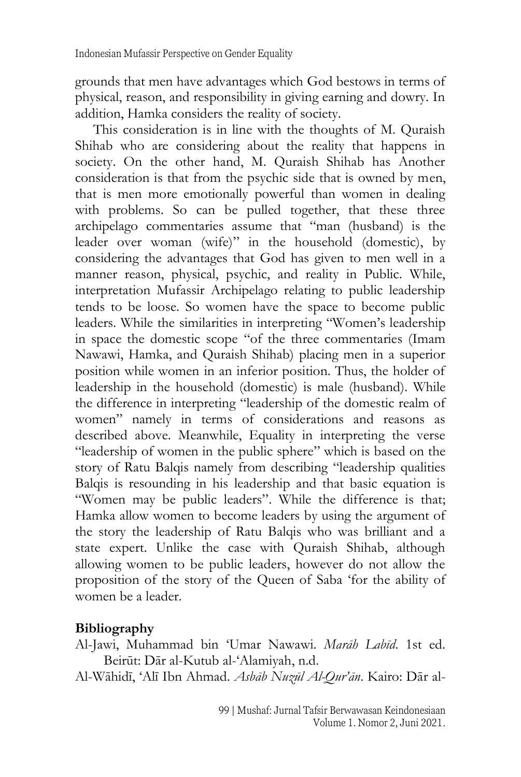grounds that men have advantages which God bestows in terms of physical, reason, and responsibility in giving earning and dowry. In addition, Hamka considers the reality of society.

This consideration is in line with the thoughts of M. Quraish Shihab who are considering about the reality that happens in society. On the other hand, M. Quraish Shihab has Another consideration is that from the psychic side that is owned by men, that is men more emotionally powerful than women in dealing with problems. So can be pulled together, that these three archipelago commentaries assume that "man (husband) is the leader over woman (wife)" in the household (domestic), by considering the advantages that God has given to men well in a manner reason, physical, psychic, and reality in Public. While, interpretation Mufassir Archipelago relating to public leadership tends to be loose. So women have the space to become public leaders. While the similarities in interpreting "Women's leadership in space the domestic scope "of the three commentaries (Imam Nawawi, Hamka, and Quraish Shihab) placing men in a superior position while women in an inferior position. Thus, the holder of leadership in the household (domestic) is male (husband). While the difference in interpreting "leadership of the domestic realm of women" namely in terms of considerations and reasons as described above. Meanwhile, Equality in interpreting the verse "leadership of women in the public sphere" which is based on the story of Ratu Balqis namely from describing "leadership qualities Balqis is resounding in his leadership and that basic equation is "Women may be public leaders". While the difference is that; Hamka allow women to become leaders by using the argument of the story the leadership of Ratu Balqis who was brilliant and a state expert. Unlike the case with Quraish Shihab, although allowing women to be public leaders, however do not allow the proposition of the story of the Queen of Saba 'for the ability of women be a leader.

#### **Bibliography**

Al-Jawi, Muhammad bin 'Umar Nawawi. *Marāh Labīd*. 1st ed. Beirūt: Dār al-Kutub al-'Alamiyah, n.d.

Al-Wāhidī, 'Alī Ibn Ahmad. *Asbāb Nuzūl Al-Qur'ān*. Kairo: Dār al-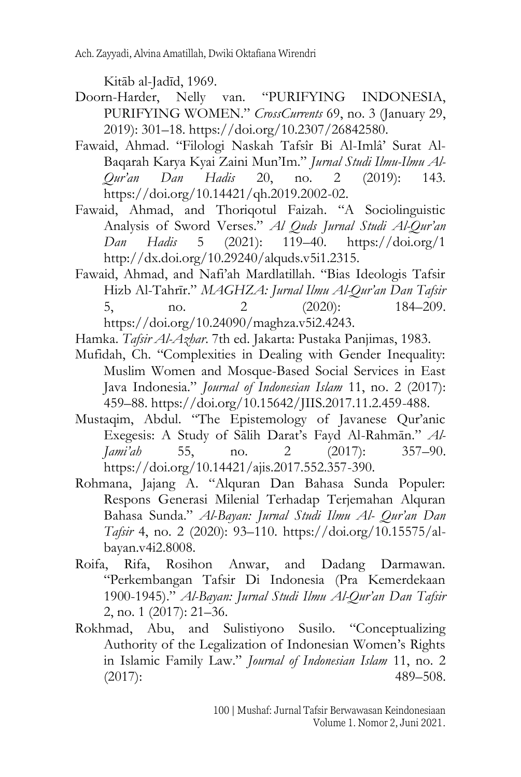Kitāb al-Jadīd, 1969.

- Doorn-Harder, Nelly van. "PURIFYING INDONESIA, PURIFYING WOMEN." *CrossCurrents* 69, no. 3 (January 29, 2019): 301–18. https://doi.org/10.2307/26842580.
- Fawaid, Ahmad. "Filologi Naskah Tafsîr Bi Al-Imlâ' Surat Al-Baqarah Karya Kyai Zaini Mun'Im." *Jurnal Studi Ilmu-Ilmu Al-Qur'an Dan Hadis* 20, no. 2 (2019): 143. https://doi.org/10.14421/qh.2019.2002-02.
- Fawaid, Ahmad, and Thoriqotul Faizah. "A Sociolinguistic Analysis of Sword Verses." *Al Quds Jurnal Studi Al-Qur'an Dan Hadis* 5 (2021): 119–40. https://doi.org/1 http://dx.doi.org/10.29240/alquds.v5i1.2315.
- Fawaid, Ahmad, and Nafi'ah Mardlatillah. "Bias Ideologis Tafsir Hizb Al-Tahrīr." *MAGHZA: Jurnal Ilmu Al-Qur'an Dan Tafsir* 5, no. 2 (2020): 184–209. https://doi.org/10.24090/maghza.v5i2.4243.

Hamka. *Tafsir Al-Azhar*. 7th ed. Jakarta: Pustaka Panjimas, 1983.

- Mufidah, Ch. "Complexities in Dealing with Gender Inequality: Muslim Women and Mosque-Based Social Services in East Java Indonesia." *Journal of Indonesian Islam* 11, no. 2 (2017): 459–88. https://doi.org/10.15642/JIIS.2017.11.2.459-488.
- Mustaqim, Abdul. "The Epistemology of Javanese Qur'anic Exegesis: A Study of Sālih Darat's Fayd Al-Rahmān." *Al-Jami'ah* 55, no. 2 (2017): 357–90. https://doi.org/10.14421/ajis.2017.552.357-390.
- Rohmana, Jajang A. "Alquran Dan Bahasa Sunda Populer: Respons Generasi Milenial Terhadap Terjemahan Alquran Bahasa Sunda." *Al-Bayan: Jurnal Studi Ilmu Al- Qur'an Dan Tafsir* 4, no. 2 (2020): 93–110. https://doi.org/10.15575/albayan.v4i2.8008.
- Roifa, Rifa, Rosihon Anwar, and Dadang Darmawan. "Perkembangan Tafsir Di Indonesia (Pra Kemerdekaan 1900-1945)." *Al-Bayan: Jurnal Studi Ilmu Al-Qur'an Dan Tafsir* 2, no. 1 (2017): 21–36.
- Rokhmad, Abu, and Sulistiyono Susilo. "Conceptualizing Authority of the Legalization of Indonesian Women's Rights in Islamic Family Law." *Journal of Indonesian Islam* 11, no. 2 (2017): 489–508.